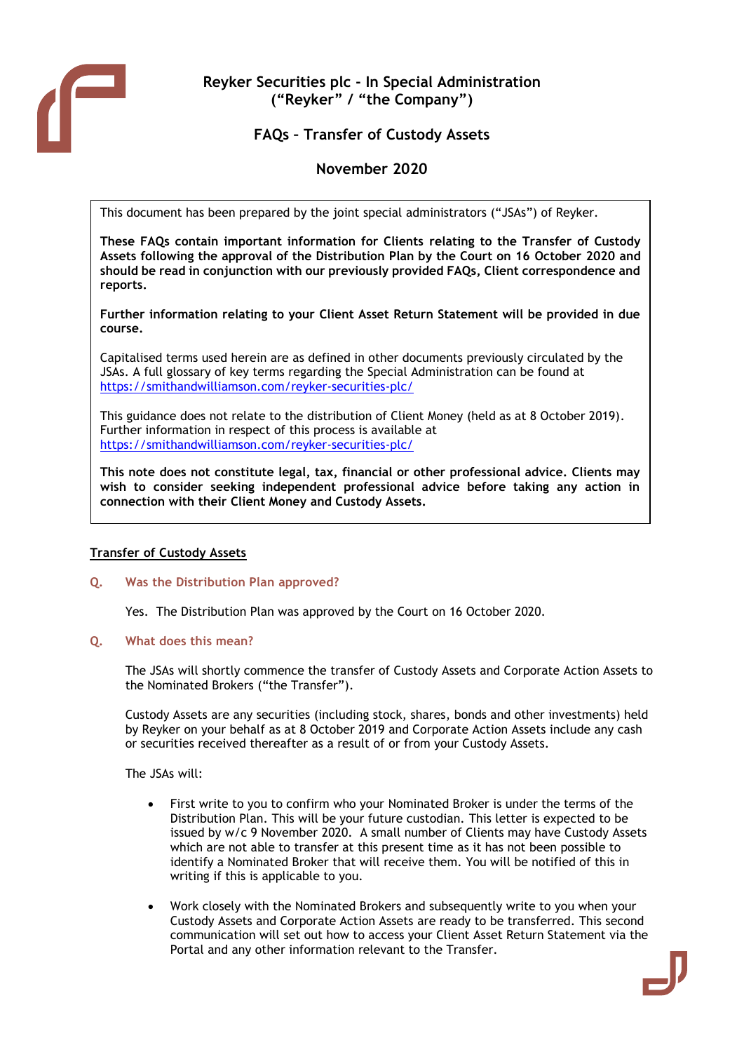

# **Reyker Securities plc - In Special Administration ("Reyker" / "the Company")**

# **FAQs – Transfer of Custody Assets**

# **November 2020**

This document has been prepared by the joint special administrators ("JSAs") of Reyker.

**These FAQs contain important information for Clients relating to the Transfer of Custody Assets following the approval of the Distribution Plan by the Court on 16 October 2020 and should be read in conjunction with our previously provided FAQs, Client correspondence and reports.**

**Further information relating to your Client Asset Return Statement will be provided in due course.**

Capitalised terms used herein are as defined in other documents previously circulated by the JSAs. A full glossary of key terms regarding the Special Administration can be found at <https://smithandwilliamson.com/reyker-securities-plc/>

This guidance does not relate to the distribution of Client Money (held as at 8 October 2019). Further information in respect of this process is available at <https://smithandwilliamson.com/reyker-securities-plc/>

**This note does not constitute legal, tax, financial or other professional advice. Clients may wish to consider seeking independent professional advice before taking any action in connection with their Client Money and Custody Assets.** 

## **Transfer of Custody Assets**

## **Q. Was the Distribution Plan approved?**

Yes. The Distribution Plan was approved by the Court on 16 October 2020.

#### **Q. What does this mean?**

The JSAs will shortly commence the transfer of Custody Assets and Corporate Action Assets to the Nominated Brokers ("the Transfer").

Custody Assets are any securities (including stock, shares, bonds and other investments) held by Reyker on your behalf as at 8 October 2019 and Corporate Action Assets include any cash or securities received thereafter as a result of or from your Custody Assets.

The JSAs will:

- First write to you to confirm who your Nominated Broker is under the terms of the Distribution Plan. This will be your future custodian. This letter is expected to be issued by w/c 9 November 2020. A small number of Clients may have Custody Assets which are not able to transfer at this present time as it has not been possible to identify a Nominated Broker that will receive them. You will be notified of this in writing if this is applicable to you.
- Work closely with the Nominated Brokers and subsequently write to you when your Custody Assets and Corporate Action Assets are ready to be transferred. This second communication will set out how to access your Client Asset Return Statement via the Portal and any other information relevant to the Transfer.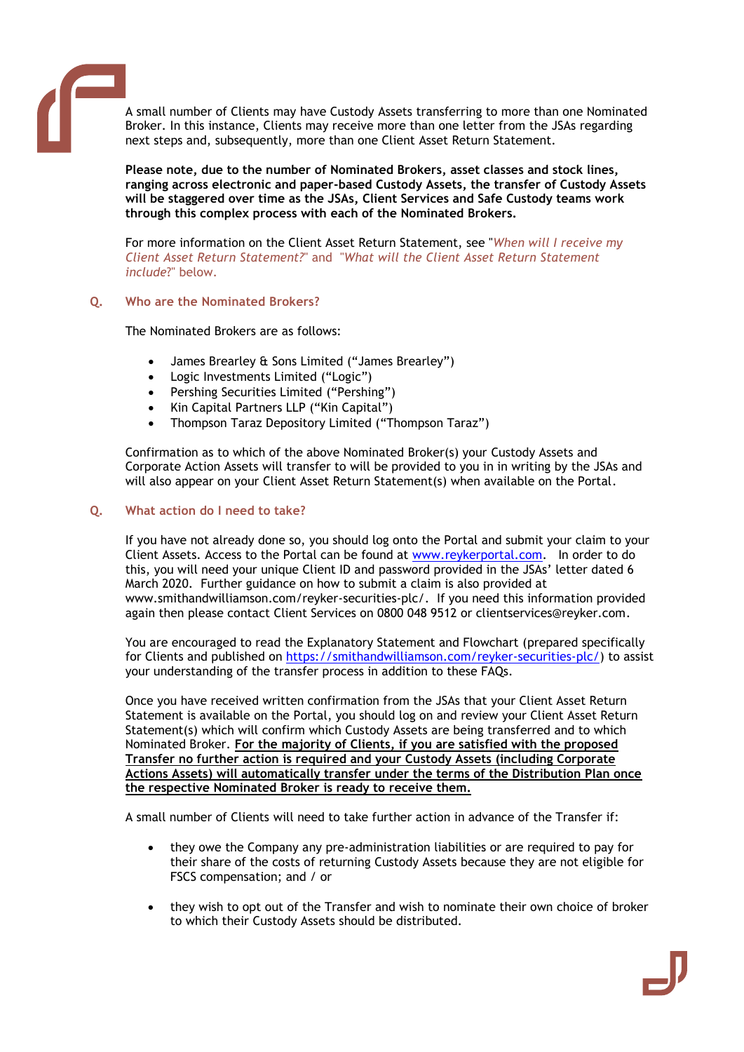

A small number of Clients may have Custody Assets transferring to more than one Nominated Broker. In this instance, Clients may receive more than one letter from the JSAs regarding next steps and, subsequently, more than one Client Asset Return Statement.

**Please note, due to the number of Nominated Brokers, asset classes and stock lines, ranging across electronic and paper-based Custody Assets, the transfer of Custody Assets will be staggered over time as the JSAs, Client Services and Safe Custody teams work through this complex process with each of the Nominated Brokers.**

For more information on the Client Asset Return Statement, see "*When will I receive my Client Asset Return Statement?*" and "*What will the Client Asset Return Statement include*?" below.

# **Q. Who are the Nominated Brokers?**

The Nominated Brokers are as follows:

- James Brearley & Sons Limited ("James Brearley")
- Logic Investments Limited ("Logic")
- Pershing Securities Limited ("Pershing")
- Kin Capital Partners LLP ("Kin Capital")
- Thompson Taraz Depository Limited ("Thompson Taraz")

Confirmation as to which of the above Nominated Broker(s) your Custody Assets and Corporate Action Assets will transfer to will be provided to you in in writing by the JSAs and will also appear on your Client Asset Return Statement(s) when available on the Portal.

## **Q. What action do I need to take?**

If you have not already done so, you should log onto the Portal and submit your claim to your Client Assets. Access to the Portal can be found at [www.reykerportal.com.](http://www.reykerportal.com/) In order to do this, you will need your unique Client ID and password provided in the JSAs' letter dated 6 March 2020. Further guidance on how to submit a claim is also provided at www.smithandwilliamson.com/reyker-securities-plc/. If you need this information provided again then please contact Client Services on 0800 048 9512 or clientservices@reyker.com.

You are encouraged to read the Explanatory Statement and Flowchart (prepared specifically for Clients and published on [https://smithandwilliamson.com/reyker-securities-plc/\)](https://smithandwilliamson.com/reyker-securities-plc/) to assist your understanding of the transfer process in addition to these FAQs.

Once you have received written confirmation from the JSAs that your Client Asset Return Statement is available on the Portal, you should log on and review your Client Asset Return Statement(s) which will confirm which Custody Assets are being transferred and to which Nominated Broker. **For the majority of Clients, if you are satisfied with the proposed Transfer no further action is required and your Custody Assets (including Corporate Actions Assets) will automatically transfer under the terms of the Distribution Plan once the respective Nominated Broker is ready to receive them.**

A small number of Clients will need to take further action in advance of the Transfer if:

- they owe the Company any pre-administration liabilities or are required to pay for their share of the costs of returning Custody Assets because they are not eligible for FSCS compensation; and / or
- they wish to opt out of the Transfer and wish to nominate their own choice of broker to which their Custody Assets should be distributed.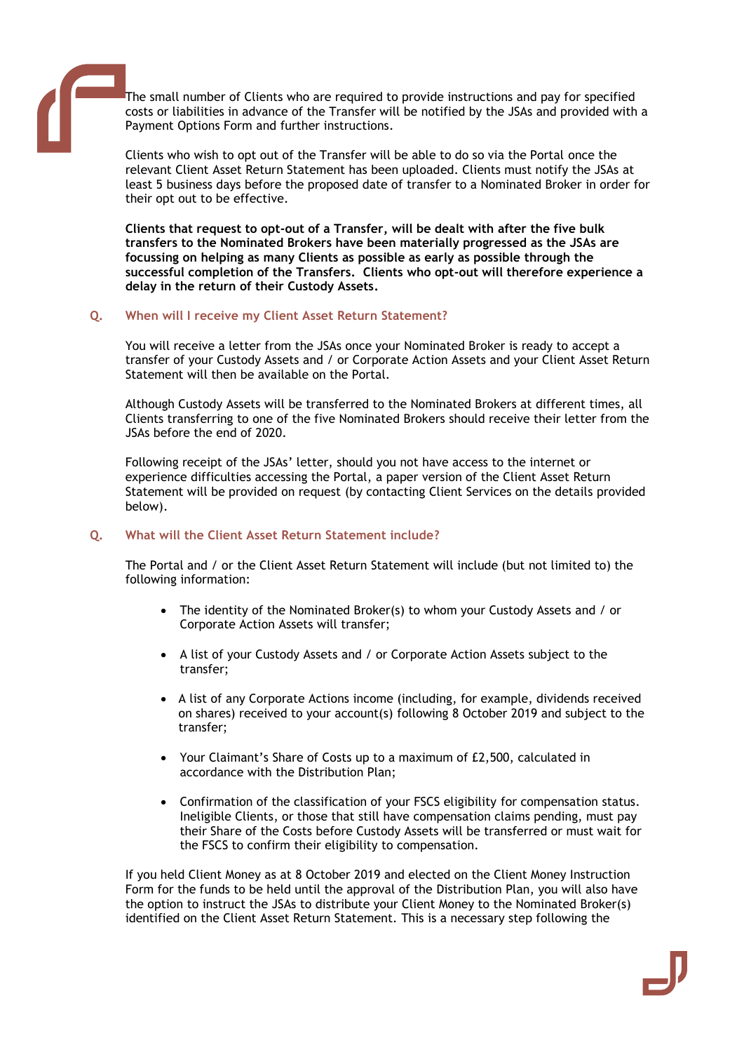The small number of Clients who are required to provide instructions and pay for specified costs or liabilities in advance of the Transfer will be notified by the JSAs and provided with a Payment Options Form and further instructions.

Clients who wish to opt out of the Transfer will be able to do so via the Portal once the relevant Client Asset Return Statement has been uploaded. Clients must notify the JSAs at least 5 business days before the proposed date of transfer to a Nominated Broker in order for their opt out to be effective.

**Clients that request to opt-out of a Transfer, will be dealt with after the five bulk transfers to the Nominated Brokers have been materially progressed as the JSAs are focussing on helping as many Clients as possible as early as possible through the successful completion of the Transfers. Clients who opt-out will therefore experience a delay in the return of their Custody Assets.** 

## **Q. When will I receive my Client Asset Return Statement?**

You will receive a letter from the JSAs once your Nominated Broker is ready to accept a transfer of your Custody Assets and / or Corporate Action Assets and your Client Asset Return Statement will then be available on the Portal.

Although Custody Assets will be transferred to the Nominated Brokers at different times, all Clients transferring to one of the five Nominated Brokers should receive their letter from the JSAs before the end of 2020.

Following receipt of the JSAs' letter, should you not have access to the internet or experience difficulties accessing the Portal, a paper version of the Client Asset Return Statement will be provided on request (by contacting Client Services on the details provided below).

## **Q. What will the Client Asset Return Statement include?**

The Portal and / or the Client Asset Return Statement will include (but not limited to) the following information:

- The identity of the Nominated Broker(s) to whom your Custody Assets and / or Corporate Action Assets will transfer;
- A list of your Custody Assets and / or Corporate Action Assets subject to the transfer;
- A list of any Corporate Actions income (including, for example, dividends received on shares) received to your account(s) following 8 October 2019 and subject to the transfer;
- Your Claimant's Share of Costs up to a maximum of £2,500, calculated in accordance with the Distribution Plan;
- Confirmation of the classification of your FSCS eligibility for compensation status. Ineligible Clients, or those that still have compensation claims pending, must pay their Share of the Costs before Custody Assets will be transferred or must wait for the FSCS to confirm their eligibility to compensation.

If you held Client Money as at 8 October 2019 and elected on the Client Money Instruction Form for the funds to be held until the approval of the Distribution Plan, you will also have the option to instruct the JSAs to distribute your Client Money to the Nominated Broker(s) identified on the Client Asset Return Statement. This is a necessary step following the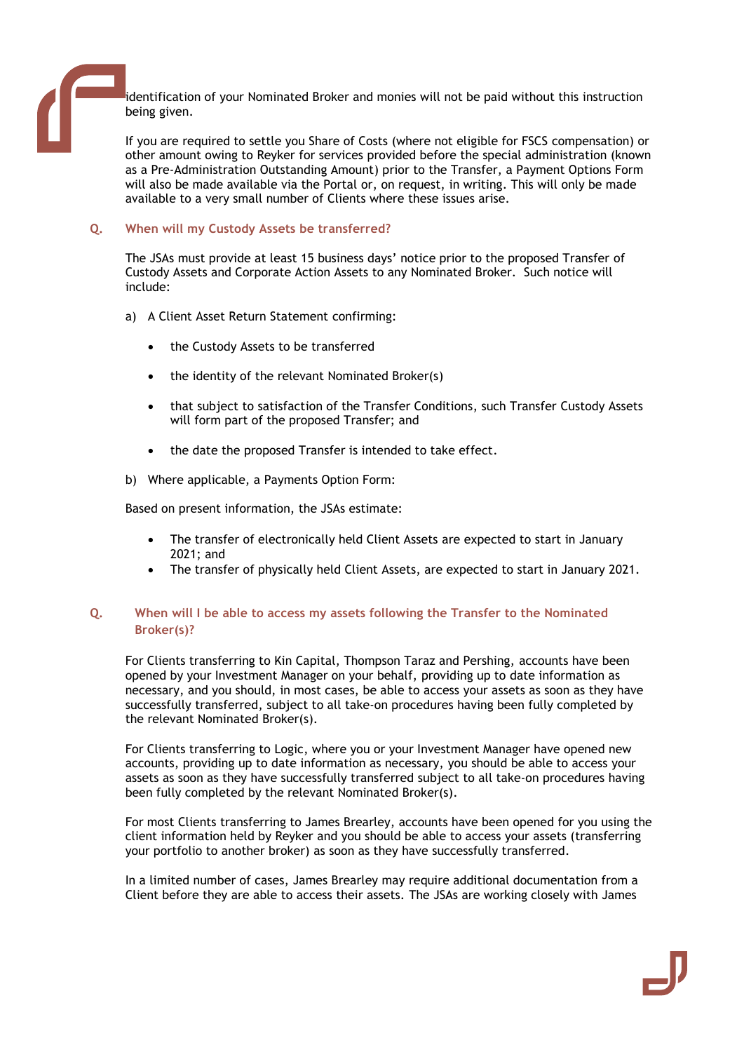identification of your Nominated Broker and monies will not be paid without this instruction being given.

If you are required to settle you Share of Costs (where not eligible for FSCS compensation) or other amount owing to Reyker for services provided before the special administration (known as a Pre-Administration Outstanding Amount) prior to the Transfer, a Payment Options Form will also be made available via the Portal or, on request, in writing. This will only be made available to a very small number of Clients where these issues arise.

## **Q. When will my Custody Assets be transferred?**

The JSAs must provide at least 15 business days' notice prior to the proposed Transfer of Custody Assets and Corporate Action Assets to any Nominated Broker. Such notice will include:

- a) A Client Asset Return Statement confirming:
	- the Custody Assets to be transferred
	- the identity of the relevant Nominated Broker(s)
	- that subject to satisfaction of the Transfer Conditions, such Transfer Custody Assets will form part of the proposed Transfer; and
	- the date the proposed Transfer is intended to take effect.
- b) Where applicable, a Payments Option Form:

Based on present information, the JSAs estimate:

- The transfer of electronically held Client Assets are expected to start in January 2021; and
- The transfer of physically held Client Assets, are expected to start in January 2021.

## **Q. When will I be able to access my assets following the Transfer to the Nominated Broker(s)?**

For Clients transferring to Kin Capital, Thompson Taraz and Pershing, accounts have been opened by your Investment Manager on your behalf, providing up to date information as necessary, and you should, in most cases, be able to access your assets as soon as they have successfully transferred, subject to all take-on procedures having been fully completed by the relevant Nominated Broker(s).

For Clients transferring to Logic, where you or your Investment Manager have opened new accounts, providing up to date information as necessary, you should be able to access your assets as soon as they have successfully transferred subject to all take-on procedures having been fully completed by the relevant Nominated Broker(s).

For most Clients transferring to James Brearley, accounts have been opened for you using the client information held by Reyker and you should be able to access your assets (transferring your portfolio to another broker) as soon as they have successfully transferred.

In a limited number of cases, James Brearley may require additional documentation from a Client before they are able to access their assets. The JSAs are working closely with James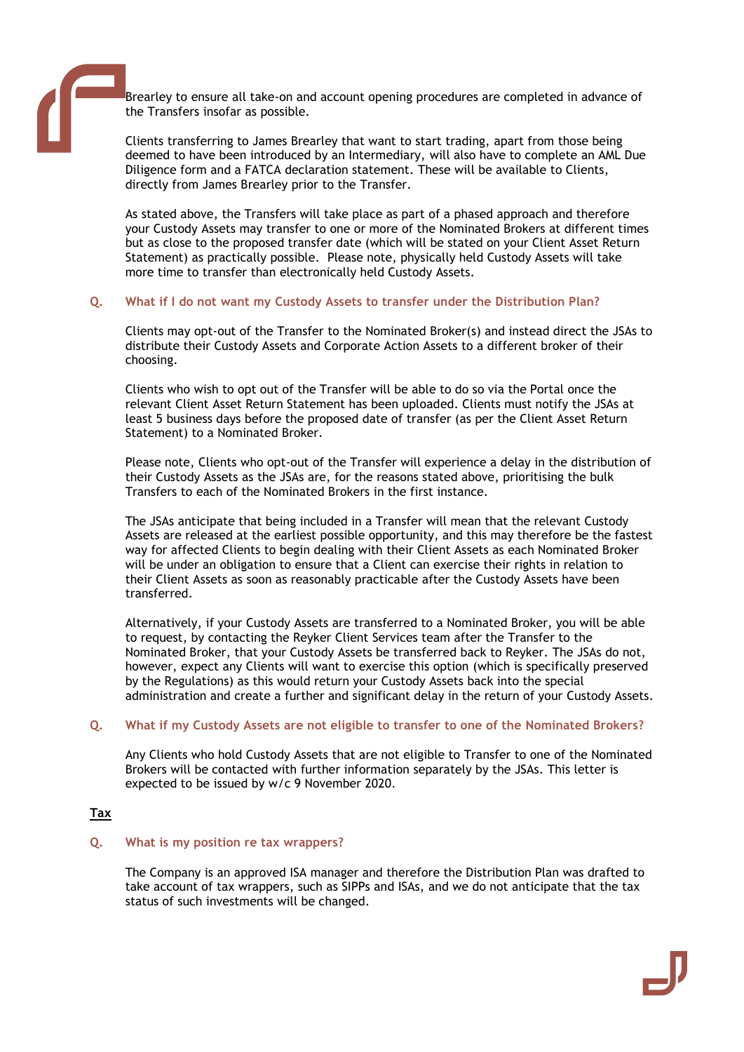Brearley to ensure all take-on and account opening procedures are completed in advance of the Transfers insofar as possible.

Clients transferring to James Brearley that want to start trading, apart from those being deemed to have been introduced by an Intermediary, will also have to complete an AML Due Diligence form and a FATCA declaration statement. These will be available to Clients, directly from James Brearley prior to the Transfer.

As stated above, the Transfers will take place as part of a phased approach and therefore your Custody Assets may transfer to one or more of the Nominated Brokers at different times but as close to the proposed transfer date (which will be stated on your Client Asset Return Statement) as practically possible. Please note, physically held Custody Assets will take more time to transfer than electronically held Custody Assets.

## **Q. What if I do not want my Custody Assets to transfer under the Distribution Plan?**

Clients may opt-out of the Transfer to the Nominated Broker(s) and instead direct the JSAs to distribute their Custody Assets and Corporate Action Assets to a different broker of their choosing.

Clients who wish to opt out of the Transfer will be able to do so via the Portal once the relevant Client Asset Return Statement has been uploaded. Clients must notify the JSAs at least 5 business days before the proposed date of transfer (as per the Client Asset Return Statement) to a Nominated Broker.

Please note, Clients who opt-out of the Transfer will experience a delay in the distribution of their Custody Assets as the JSAs are, for the reasons stated above, prioritising the bulk Transfers to each of the Nominated Brokers in the first instance.

The JSAs anticipate that being included in a Transfer will mean that the relevant Custody Assets are released at the earliest possible opportunity, and this may therefore be the fastest way for affected Clients to begin dealing with their Client Assets as each Nominated Broker will be under an obligation to ensure that a Client can exercise their rights in relation to their Client Assets as soon as reasonably practicable after the Custody Assets have been transferred.

Alternatively, if your Custody Assets are transferred to a Nominated Broker, you will be able to request, by contacting the Reyker Client Services team after the Transfer to the Nominated Broker, that your Custody Assets be transferred back to Reyker. The JSAs do not, however, expect any Clients will want to exercise this option (which is specifically preserved by the Regulations) as this would return your Custody Assets back into the special administration and create a further and significant delay in the return of your Custody Assets.

#### **Q. What if my Custody Assets are not eligible to transfer to one of the Nominated Brokers?**

Any Clients who hold Custody Assets that are not eligible to Transfer to one of the Nominated Brokers will be contacted with further information separately by the JSAs. This letter is expected to be issued by w/c 9 November 2020.

## **Tax**

#### **Q. What is my position re tax wrappers?**

The Company is an approved ISA manager and therefore the Distribution Plan was drafted to take account of tax wrappers, such as SIPPs and ISAs, and we do not anticipate that the tax status of such investments will be changed.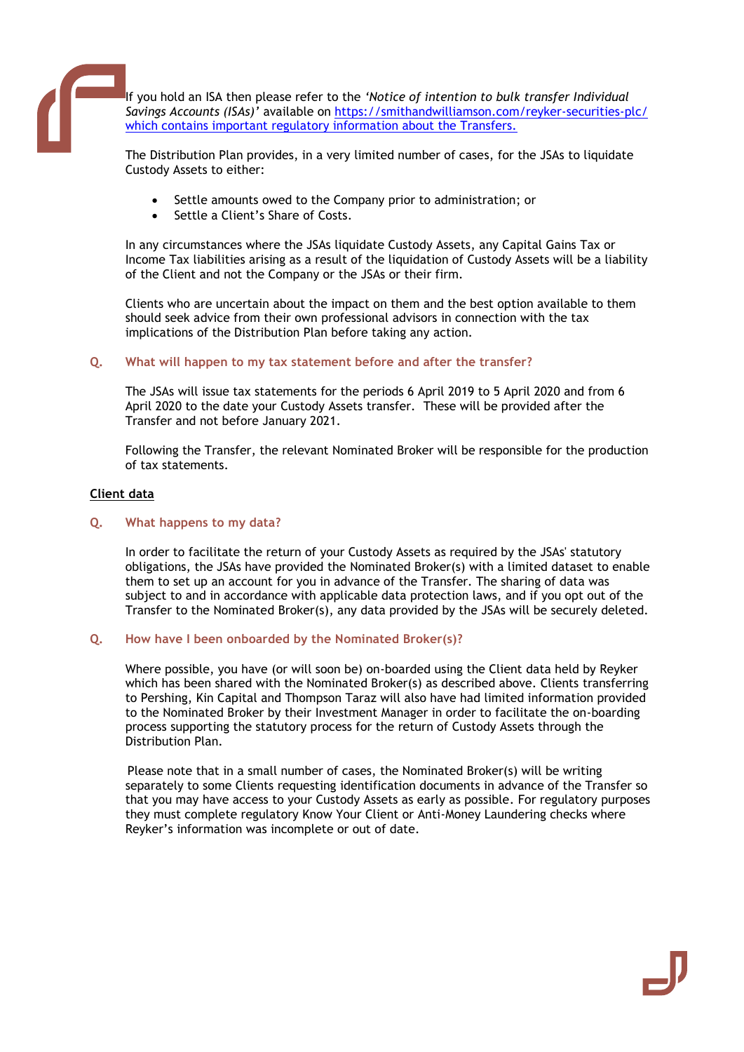If you hold an ISA then please refer to the *'Notice of intention to bulk transfer Individual Savings Accounts (ISAs)'* available on<https://smithandwilliamson.com/reyker-securities-plc/> which contains important regulatory information about the Transfers.

The Distribution Plan provides, in a very limited number of cases, for the JSAs to liquidate Custody Assets to either:

- Settle amounts owed to the Company prior to administration; or
- Settle a Client's Share of Costs.

In any circumstances where the JSAs liquidate Custody Assets, any Capital Gains Tax or Income Tax liabilities arising as a result of the liquidation of Custody Assets will be a liability of the Client and not the Company or the JSAs or their firm.

Clients who are uncertain about the impact on them and the best option available to them should seek advice from their own professional advisors in connection with the tax implications of the Distribution Plan before taking any action.

## **Q. What will happen to my tax statement before and after the transfer?**

The JSAs will issue tax statements for the periods 6 April 2019 to 5 April 2020 and from 6 April 2020 to the date your Custody Assets transfer. These will be provided after the Transfer and not before January 2021.

Following the Transfer, the relevant Nominated Broker will be responsible for the production of tax statements.

## **Client data**

## **Q. What happens to my data?**

In order to facilitate the return of your Custody Assets as required by the JSAs' statutory obligations, the JSAs have provided the Nominated Broker(s) with a limited dataset to enable them to set up an account for you in advance of the Transfer. The sharing of data was subject to and in accordance with applicable data protection laws, and if you opt out of the Transfer to the Nominated Broker(s), any data provided by the JSAs will be securely deleted.

## **Q. How have I been onboarded by the Nominated Broker(s)?**

Where possible, you have (or will soon be) on-boarded using the Client data held by Reyker which has been shared with the Nominated Broker(s) as described above. Clients transferring to Pershing, Kin Capital and Thompson Taraz will also have had limited information provided to the Nominated Broker by their Investment Manager in order to facilitate the on-boarding process supporting the statutory process for the return of Custody Assets through the Distribution Plan.

 Please note that in a small number of cases, the Nominated Broker(s) will be writing separately to some Clients requesting identification documents in advance of the Transfer so that you may have access to your Custody Assets as early as possible. For regulatory purposes they must complete regulatory Know Your Client or Anti-Money Laundering checks where Reyker's information was incomplete or out of date.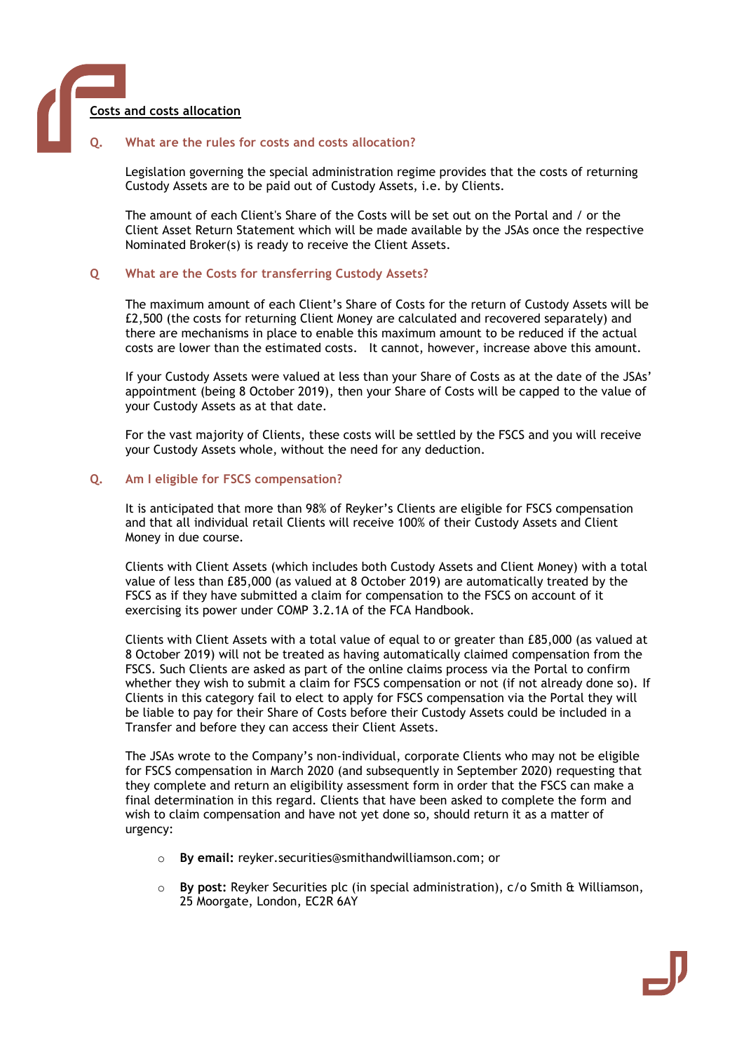

#### **Q. What are the rules for costs and costs allocation?**

Legislation governing the special administration regime provides that the costs of returning Custody Assets are to be paid out of Custody Assets, i.e. by Clients.

The amount of each Client's Share of the Costs will be set out on the Portal and / or the Client Asset Return Statement which will be made available by the JSAs once the respective Nominated Broker(s) is ready to receive the Client Assets.

#### **Q What are the Costs for transferring Custody Assets?**

The maximum amount of each Client's Share of Costs for the return of Custody Assets will be £2,500 (the costs for returning Client Money are calculated and recovered separately) and there are mechanisms in place to enable this maximum amount to be reduced if the actual costs are lower than the estimated costs. It cannot, however, increase above this amount.

If your Custody Assets were valued at less than your Share of Costs as at the date of the JSAs' appointment (being 8 October 2019), then your Share of Costs will be capped to the value of your Custody Assets as at that date.

For the vast majority of Clients, these costs will be settled by the FSCS and you will receive your Custody Assets whole, without the need for any deduction.

#### **Q. Am I eligible for FSCS compensation?**

It is anticipated that more than 98% of Reyker's Clients are eligible for FSCS compensation and that all individual retail Clients will receive 100% of their Custody Assets and Client Money in due course.

Clients with Client Assets (which includes both Custody Assets and Client Money) with a total value of less than £85,000 (as valued at 8 October 2019) are automatically treated by the FSCS as if they have submitted a claim for compensation to the FSCS on account of it exercising its power under COMP 3.2.1A of the FCA Handbook.

Clients with Client Assets with a total value of equal to or greater than £85,000 (as valued at 8 October 2019) will not be treated as having automatically claimed compensation from the FSCS. Such Clients are asked as part of the online claims process via the Portal to confirm whether they wish to submit a claim for FSCS compensation or not (if not already done so). If Clients in this category fail to elect to apply for FSCS compensation via the Portal they will be liable to pay for their Share of Costs before their Custody Assets could be included in a Transfer and before they can access their Client Assets.

The JSAs wrote to the Company's non-individual, corporate Clients who may not be eligible for FSCS compensation in March 2020 (and subsequently in September 2020) requesting that they complete and return an eligibility assessment form in order that the FSCS can make a final determination in this regard. Clients that have been asked to complete the form and wish to claim compensation and have not yet done so, should return it as a matter of urgency:

- o **By email:** [reyker.securities@smithandwilliamson.com;](mailto:reyker.securities@smithandwilliamson.com) or
- o **By post:** Reyker Securities plc (in special administration), c/o Smith & Williamson, 25 Moorgate, London, EC2R 6AY